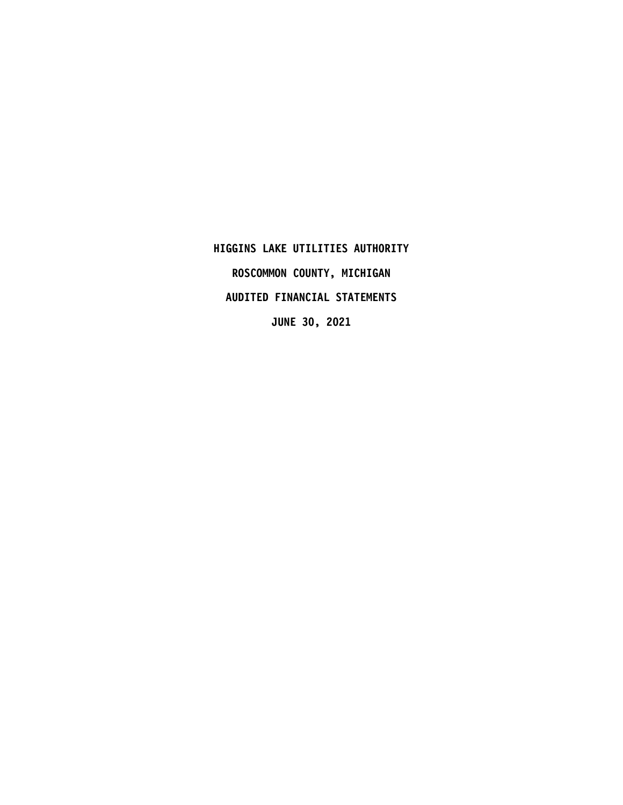**HIGGINS LAKE UTILITIES AUTHORITY ROSCOMMON COUNTY, MICHIGAN AUDITED FINANCIAL STATEMENTS JUNE 30, 2021**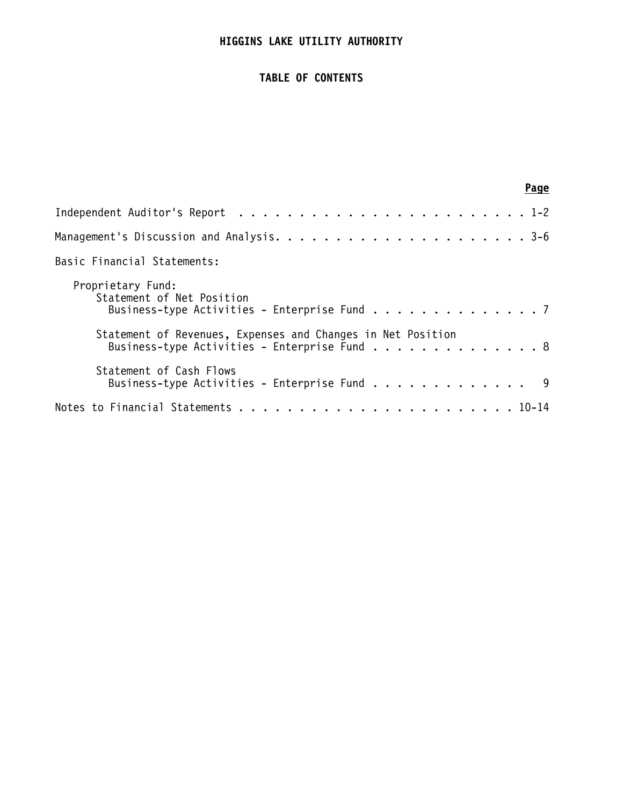# **HIGGINS LAKE UTILITY AUTHORITY**

# **TABLE OF CONTENTS**

|                                                                                                             | Page |
|-------------------------------------------------------------------------------------------------------------|------|
|                                                                                                             |      |
|                                                                                                             |      |
| Basic Financial Statements:                                                                                 |      |
| Proprietary Fund:<br>Statement of Net Position<br>Business-type Activities - Enterprise Fund 7              |      |
| Statement of Revenues, Expenses and Changes in Net Position<br>Business-type Activities - Enterprise Fund 8 |      |
| Statement of Cash Flows<br>Business-type Activities - Enterprise Fund 9                                     |      |
|                                                                                                             |      |
|                                                                                                             |      |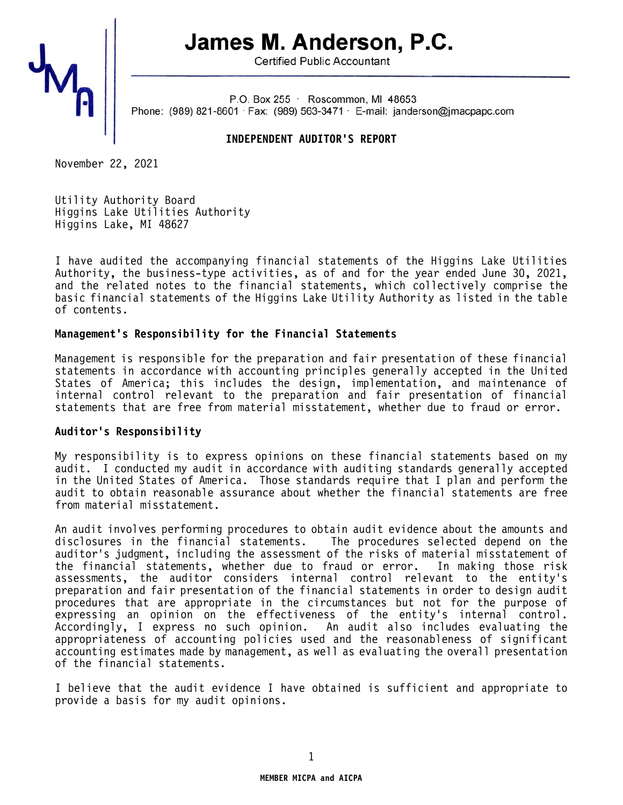# James M. Anderson, P.C.

**Certified Public Accountant** 

P.O. Box 255 · Roscommon, MI 48653 Phone: (989) 821-8601 · Fax: (989) 563-3471 · E-mail: janderson@jmacpapc.com

#### **INDEPENDENT AUDITOR'S REPORT**

November 22, 2021

Utility Authority Board Higgins Lake Utilities Authority Higgins Lake, MI 48627

I have audited the accompanying financial statements of the Higgins Lake Utilities Authority, the business-type activities, as of and for the year ended June 30, 2021, and the related notes to the financial statements, which collectively comprise the basic financial statements of the Higgins Lake Utility Authority as listed in the table of contents.

### **Management's Responsibility for the Financial Statements**

Management is responsible for the preparation and fair presentation of these financial statements in accordance with accounting principles generally accepted in the United States of America; this includes the design, implementation, and maintenance of internal control relevant to the preparation and fair presentation of financial statements that are free from material misstatement, whether due to fraud or error.

#### **Auditor's Responsibility**

My responsibility is to express opinions on these financial statements based on my audit. I conducted my audit in accordance with auditing standards generally accepted in the United States of America. Those standards require that I plan and perform the audit to obtain reasonable assurance about whether the financial statements are free from material misstatement.

An audit involves performing procedures to obtain audit evidence about the amounts and disclosures in the financial statements. The procedures selected depend on the auditor's judgment, including the assessment of the risks of material misstatement of the financial statements, whether due to fraud or error. In making those risk assessments, the auditor considers internal control relevant to the entity's preparation and fair presentation of the financial statements in order to design audit procedures that are appropriate in the circumstances but not for the purpose of expressing an opinion on the effectiveness of the entity's internal control. Accordingly, I express no such opinion. An audit also includes evaluating the appropriateness of accounting policies used and the reasonableness of significant accounting estimates made by management, as well as evaluating the overall presentation of the financial statements.

I believe that the audit evidence I have obtained is sufficient and appropriate to provide a basis for my audit opinions.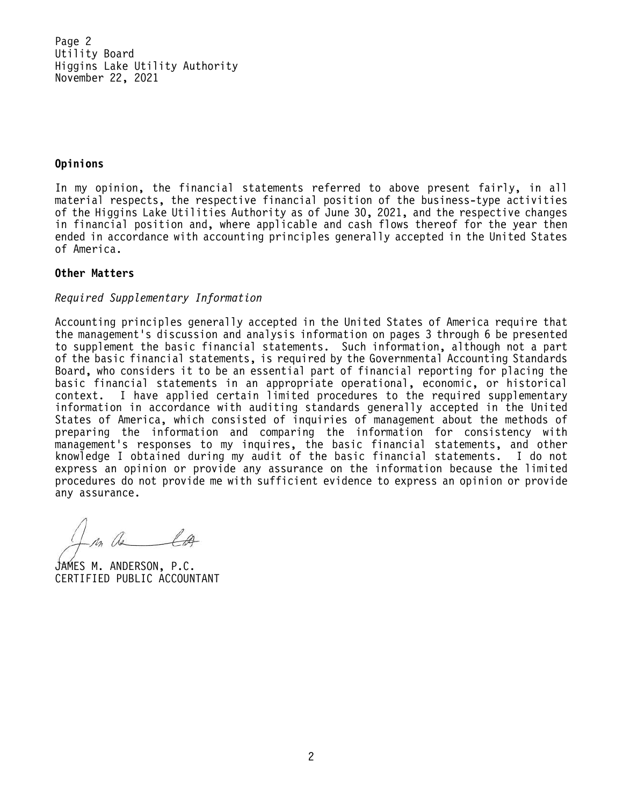Page 2 Utility Board Higgins Lake Utility Authority November 22, 2021

#### **Opinions**

In my opinion, the financial statements referred to above present fairly, in all material respects, the respective financial position of the business-type activities of the Higgins Lake Utilities Authority as of June 30, 2021, and the respective changes in financial position and, where applicable and cash flows thereof for the year then ended in accordance with accounting principles generally accepted in the United States of America.

### **Other Matters**

#### *Required Supplementary Information*

Accounting principles generally accepted in the United States of America require that the management's discussion and analysis information on pages 3 through 6 be presented to supplement the basic financial statements. Such information, although not a part of the basic financial statements, is required by the Governmental Accounting Standards Board, who considers it to be an essential part of financial reporting for placing the basic financial statements in an appropriate operational, economic, or historical context. I have applied certain limited procedures to the required supplementary information in accordance with auditing standards generally accepted in the United States of America, which consisted of inquiries of management about the methods of preparing the information and comparing the information for consistency with management's responses to my inquires, the basic financial statements, and other knowledge I obtained during my audit of the basic financial statements. I do not express an opinion or provide any assurance on the information because the limited procedures do not provide me with sufficient evidence to express an opinion or provide any assurance.

JAMES M. ANDERSON, P.C. CERTIFIED PUBLIC ACCOUNTANT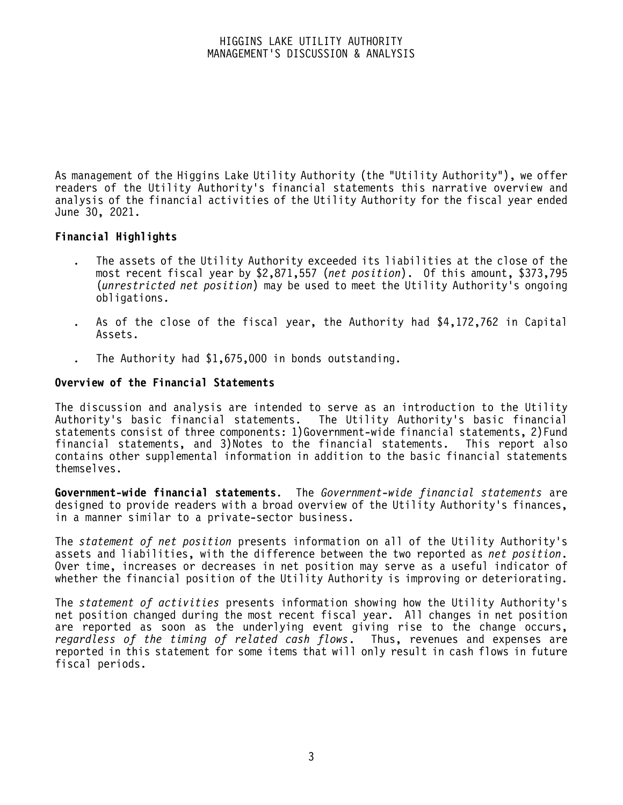As management of the Higgins Lake Utility Authority (the "Utility Authority"), we offer readers of the Utility Authority's financial statements this narrative overview and analysis of the financial activities of the Utility Authority for the fiscal year ended June 30, 2021.

## **Financial Highlights**

- . The assets of the Utility Authority exceeded its liabilities at the close of the most recent fiscal year by \$2,871,557 (*net position*). Of this amount, \$373,795 (*unrestricted net position*) may be used to meet the Utility Authority's ongoing obligations.
- . As of the close of the fiscal year, the Authority had \$4,172,762 in Capital Assets.
- . The Authority had \$1,675,000 in bonds outstanding.

## **Overview of the Financial Statements**

The discussion and analysis are intended to serve as an introduction to the Utility Authority's basic financial statements. The Utility Authority's basic financial statements consist of three components: 1)Government-wide financial statements, 2)Fund financial statements, and 3)Notes to the financial statements. This report also contains other supplemental information in addition to the basic financial statements themselves.

**Government-wide financial statements**. The *Government-wide financial statements* are designed to provide readers with a broad overview of the Utility Authority's finances, in a manner similar to a private-sector business.

The *statement of net position* presents information on all of the Utility Authority's assets and liabilities, with the difference between the two reported as *net position*. Over time, increases or decreases in net position may serve as a useful indicator of whether the financial position of the Utility Authority is improving or deteriorating.

The *statement of activities* presents information showing how the Utility Authority's net position changed during the most recent fiscal year. All changes in net position are reported as soon as the underlying event giving rise to the change occurs, *regardless of the timing of related cash flows*. Thus, revenues and expenses are reported in this statement for some items that will only result in cash flows in future fiscal periods.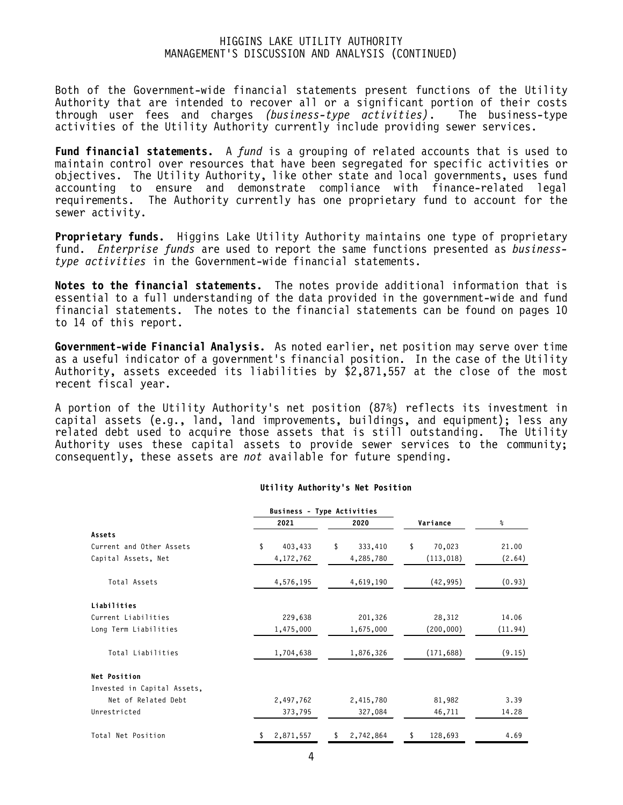#### HIGGINS LAKE UTILITY AUTHORITY MANAGEMENT'S DISCUSSION AND ANALYSIS (CONTINUED)

Both of the Government-wide financial statements present functions of the Utility Authority that are intended to recover all or a significant portion of their costs through user fees and charges *(business-type activities)*. The business-type activities of the Utility Authority currently include providing sewer services.

**Fund financial statements.** A *fund* is a grouping of related accounts that is used to maintain control over resources that have been segregated for specific activities or objectives. The Utility Authority, like other state and local governments, uses fund accounting to ensure and demonstrate compliance with finance-related legal requirements. The Authority currently has one proprietary fund to account for the sewer activity.

**Proprietary funds.** Higgins Lake Utility Authority maintains one type of proprietary fund. *Enterprise funds* are used to report the same functions presented as *businesstype activities* in the Government-wide financial statements.

**Notes to the financial statements.** The notes provide additional information that is essential to a full understanding of the data provided in the government-wide and fund financial statements. The notes to the financial statements can be found on pages 10 to 14 of this report.

**Government-wide Financial Analysis.** As noted earlier, net position may serve over time as a useful indicator of a government's financial position. In the case of the Utility Authority, assets exceeded its liabilities by \$2,871,557 at the close of the most recent fiscal year.

A portion of the Utility Authority's net position (87%) reflects its investment in capital assets (e.g., land, land improvements, buildings, and equipment); less any related debt used to acquire those assets that is still outstanding. The Utility Authority uses these capital assets to provide sewer services to the community; consequently, these assets are *not* available for future spending.

#### **Utility Authority's Net Position**

|                             | Business - Type Activities |           |      |           |          |            |         |
|-----------------------------|----------------------------|-----------|------|-----------|----------|------------|---------|
|                             | 2021                       |           | 2020 |           | Variance |            | ℅       |
| Assets                      |                            |           |      |           |          |            |         |
| Current and Other Assets    | \$                         | 403,433   | \$   | 333,410   | \$       | 70,023     | 21.00   |
| Capital Assets, Net         |                            | 4,172,762 |      | 4,285,780 |          | (113, 018) | (2.64)  |
| Total Assets                |                            | 4,576,195 |      | 4,619,190 |          | (42, 995)  | (0.93)  |
| <b>Liabilities</b>          |                            |           |      |           |          |            |         |
| Current Liabilities         |                            | 229,638   |      | 201,326   |          | 28,312     | 14.06   |
| Long Term Liabilities       |                            | 1,475,000 |      | 1,675,000 |          | (200, 000) | (11.94) |
| Total Liabilities           |                            | 1,704,638 |      | 1,876,326 |          | (171, 688) | (9.15)  |
| Net Position                |                            |           |      |           |          |            |         |
| Invested in Capital Assets, |                            |           |      |           |          |            |         |
| Net of Related Debt         |                            | 2,497,762 |      | 2,415,780 |          | 81,982     | 3.39    |
| Unrestricted                |                            | 373,795   |      | 327,084   |          | 46,711     | 14.28   |
| Total Net Position          | S                          | 2,871,557 | \$   | 2,742,864 | \$       | 128,693    | 4.69    |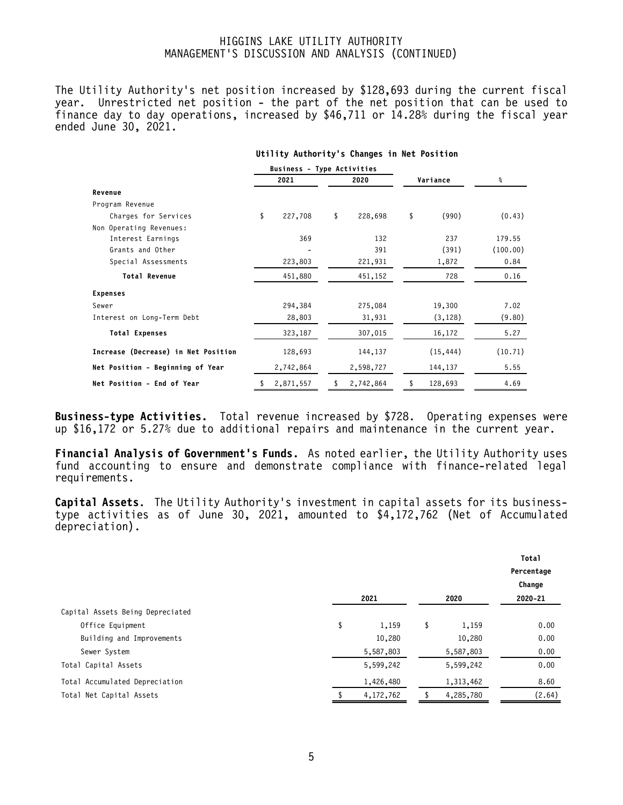#### HIGGINS LAKE UTILITY AUTHORITY MANAGEMENT'S DISCUSSION AND ANALYSIS (CONTINUED)

The Utility Authority's net position increased by \$128,693 during the current fiscal year. Unrestricted net position - the part of the net position that can be used to finance day to day operations, increased by \$46,711 or 14.28% during the fiscal year ended June 30, 2021.

| Utility Authority's Changes in Net Position |    |                            |      |           |          |           |          |  |
|---------------------------------------------|----|----------------------------|------|-----------|----------|-----------|----------|--|
|                                             |    | Business - Type Activities |      |           |          |           |          |  |
|                                             |    | 2021                       | 2020 |           | Variance |           | ℅        |  |
| Revenue                                     |    |                            |      |           |          |           |          |  |
| Program Revenue                             |    |                            |      |           |          |           |          |  |
| Charges for Services                        | \$ | 227,708                    | \$   | 228,698   | \$       | (990)     | (0.43)   |  |
| Non Operating Revenues:                     |    |                            |      |           |          |           |          |  |
| Interest Earnings                           |    | 369                        |      | 132       |          | 237       | 179.55   |  |
| Grants and Other                            |    |                            |      | 391       |          | (391)     | (100.00) |  |
| Special Assessments                         |    | 223,803                    |      | 221,931   |          | 1,872     | 0.84     |  |
| <b>Total Revenue</b>                        |    | 451,880                    |      | 451,152   |          | 728       | 0.16     |  |
| <b>Expenses</b>                             |    |                            |      |           |          |           |          |  |
| Sewer                                       |    | 294,384                    |      | 275,084   |          | 19,300    | 7.02     |  |
| Interest on Long-Term Debt                  |    | 28,803                     |      | 31,931    |          | (3, 128)  | (9.80)   |  |
| <b>Total Expenses</b>                       |    | 323,187                    |      | 307,015   |          | 16,172    | 5.27     |  |
| Increase (Decrease) in Net Position         |    | 128,693                    |      | 144,137   |          | (15, 444) | (10.71)  |  |
| Net Position - Beginning of Year            |    | 2,742,864                  |      | 2,598,727 |          | 144,137   | 5.55     |  |
| Net Position - End of Year                  |    | 2,871,557                  |      | 2,742,864 |          | 128,693   | 4.69     |  |

**Business-type Activities.** Total revenue increased by \$728. Operating expenses were up \$16,172 or 5.27% due to additional repairs and maintenance in the current year.

**Financial Analysis of Government's Funds.** As noted earlier, the Utility Authority uses fund accounting to ensure and demonstrate compliance with finance-related legal requirements.

**Capital Assets**. The Utility Authority's investment in capital assets for its businesstype activities as of June 30, 2021, amounted to \$4,172,762 (Net of Accumulated depreciation).

|                                  | 2021        | 2020        | <b>Total</b><br>Percentage<br>Change<br>2020-21 |
|----------------------------------|-------------|-------------|-------------------------------------------------|
| Capital Assets Being Depreciated |             |             |                                                 |
| Office Equipment                 | \$<br>1,159 | \$<br>1,159 | 0.00                                            |
| Building and Improvements        | 10,280      | 10,280      | 0.00                                            |
| Sewer System                     | 5,587,803   | 5,587,803   | 0.00                                            |
| Total Capital Assets             | 5,599,242   | 5,599,242   | 0.00                                            |
| Total Accumulated Depreciation   | 1,426,480   | 1,313,462   | 8.60                                            |
| Total Net Capital Assets         | 4,172,762   | 4,285,780   | (2.64)                                          |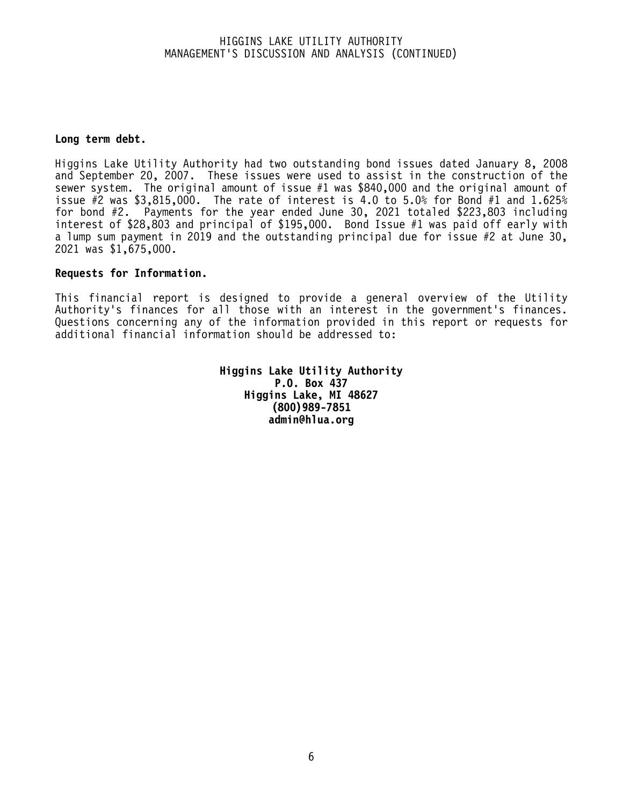#### HIGGINS LAKE UTILITY AUTHORITY MANAGEMENT'S DISCUSSION AND ANALYSIS (CONTINUED)

### **Long term debt.**

Higgins Lake Utility Authority had two outstanding bond issues dated January 8, 2008 and September 20, 2007. These issues were used to assist in the construction of the sewer system. The original amount of issue #1 was \$840,000 and the original amount of issue #2 was \$3,815,000. The rate of interest is 4.0 to 5.0% for Bond #1 and 1.625% for bond #2. Payments for the year ended June 30, 2021 totaled \$223,803 including interest of \$28,803 and principal of \$195,000. Bond Issue #1 was paid off early with a lump sum payment in 2019 and the outstanding principal due for issue #2 at June 30, 2021 was \$1,675,000.

#### **Requests for Information.**

This financial report is designed to provide a general overview of the Utility Authority's finances for all those with an interest in the government's finances. Questions concerning any of the information provided in this report or requests for additional financial information should be addressed to:

> **Higgins Lake Utility Authority P.O. Box 437 Higgins Lake, MI 48627 (800)989-7851 admin@hlua.org**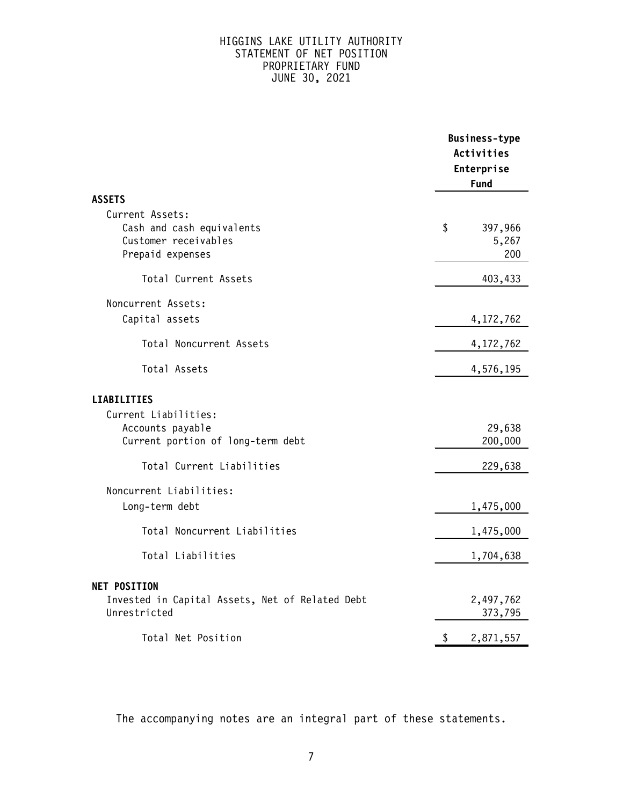### HIGGINS LAKE UTILITY AUTHORITY STATEMENT OF NET POSITION PROPRIETARY FUND JUNE 30, 2021

|                                                                                              | <b>Business-type</b><br>Activities<br>Enterprise<br><b>Fund</b> |
|----------------------------------------------------------------------------------------------|-----------------------------------------------------------------|
| ASSETS                                                                                       |                                                                 |
| Current Assets:<br>Cash and cash equivalents<br>Customer receivables<br>Prepaid expenses     | \$<br>397,966<br>5,267<br>200                                   |
| Total Current Assets                                                                         | 403,433                                                         |
| Noncurrent Assets:<br>Capital assets                                                         | 4,172,762                                                       |
| Total Noncurrent Assets                                                                      | 4,172,762                                                       |
| Total Assets                                                                                 | 4,576,195                                                       |
| LIABILITIES<br>Current Liabilities:<br>Accounts payable<br>Current portion of long-term debt | 29,638<br>200,000                                               |
| Total Current Liabilities                                                                    | 229,638                                                         |
| Noncurrent Liabilities:<br>Long-term debt                                                    | 1,475,000                                                       |
| Total Noncurrent Liabilities                                                                 | 1,475,000                                                       |
| Total Liabilities                                                                            | 1,704,638                                                       |
| <b>NET POSITION</b><br>Invested in Capital Assets, Net of Related Debt<br>Unrestricted       | 2,497,762<br>373,795                                            |
| Total Net Position                                                                           | \$<br>2,871,557                                                 |

The accompanying notes are an integral part of these statements.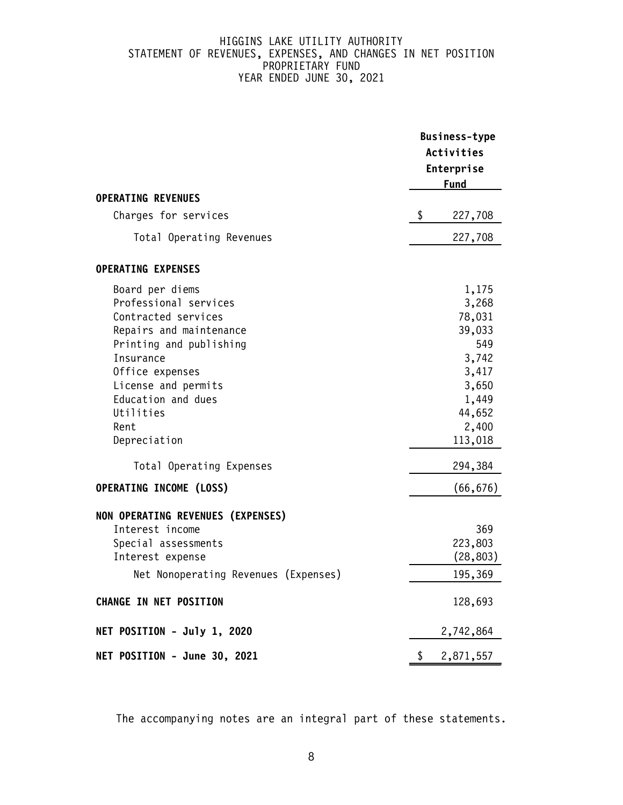#### HIGGINS LAKE UTILITY AUTHORITY STATEMENT OF REVENUES, EXPENSES, AND CHANGES IN NET POSITION PROPRIETARY FUND YEAR ENDED JUNE 30, 2021

|                                        | <b>Business-type</b><br>Activities<br>Enterprise<br><b>Fund</b> |                |  |  |
|----------------------------------------|-----------------------------------------------------------------|----------------|--|--|
| <b>OPERATING REVENUES</b>              |                                                                 |                |  |  |
| Charges for services                   | \$                                                              | 227,708        |  |  |
| Total Operating Revenues               |                                                                 | 227,708        |  |  |
| <b>OPERATING EXPENSES</b>              |                                                                 |                |  |  |
| Board per diems                        |                                                                 | 1,175          |  |  |
| Professional services                  |                                                                 | 3,268          |  |  |
| Contracted services                    |                                                                 | 78,031         |  |  |
| Repairs and maintenance                |                                                                 | 39,033         |  |  |
| Printing and publishing                |                                                                 | 549            |  |  |
| Insurance                              |                                                                 | 3,742<br>3,417 |  |  |
| Office expenses<br>License and permits |                                                                 | 3,650          |  |  |
| Education and dues                     |                                                                 | 1,449          |  |  |
| Utilities                              |                                                                 | 44,652         |  |  |
| Rent                                   |                                                                 | 2,400          |  |  |
| Depreciation                           |                                                                 | 113,018        |  |  |
| Total Operating Expenses               |                                                                 | 294,384        |  |  |
| <b>OPERATING INCOME (LOSS)</b>         |                                                                 | (66, 676)      |  |  |
| NON OPERATING REVENUES (EXPENSES)      |                                                                 |                |  |  |
| Interest income                        |                                                                 | 369            |  |  |
| Special assessments                    |                                                                 | 223,803        |  |  |
| Interest expense                       |                                                                 | (28, 803)      |  |  |
| Net Nonoperating Revenues (Expenses)   |                                                                 | 195,369        |  |  |
| <b>CHANGE IN NET POSITION</b>          |                                                                 | 128,693        |  |  |
| NET POSITION - July 1, 2020            |                                                                 | 2,742,864      |  |  |
| NET POSITION - June 30, 2021           | $\frac{1}{2}$                                                   | 2,871,557      |  |  |

The accompanying notes are an integral part of these statements.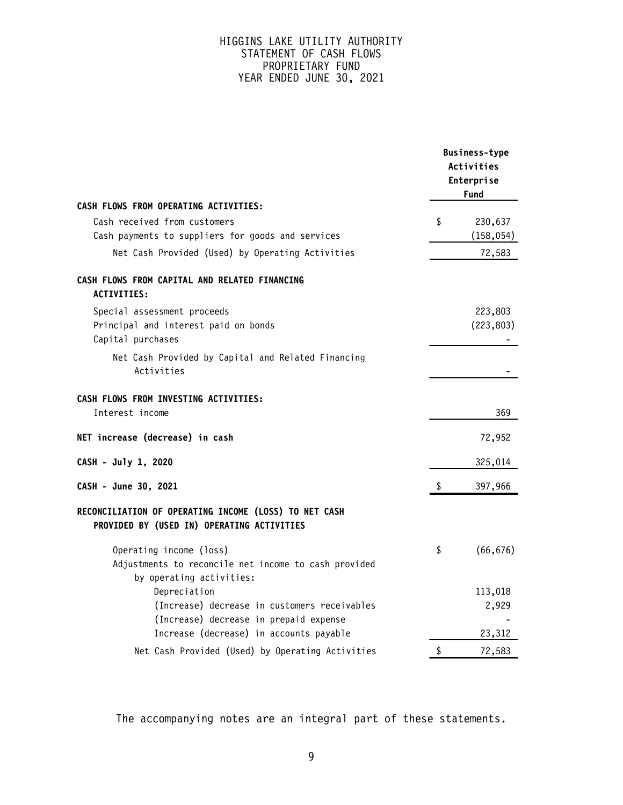#### HIGGINS LAKE UTILITY AUTHORITY STATEMENT OF CASH FLOWS PROPRIETARY FUND YEAR ENDED JUNE 30, 2021

|                                                                                                             | <b>Business-type</b><br>Activities<br>Enterprise<br><b>Fund</b> |
|-------------------------------------------------------------------------------------------------------------|-----------------------------------------------------------------|
| CASH FLOWS FROM OPERATING ACTIVITIES:                                                                       |                                                                 |
| Cash received from customers                                                                                | \$<br>230,637                                                   |
| Cash payments to suppliers for goods and services                                                           | (158, 054)                                                      |
| Net Cash Provided (Used) by Operating Activities                                                            | 72,583                                                          |
| CASH FLOWS FROM CAPITAL AND RELATED FINANCING<br><b>ACTIVITIES:</b>                                         |                                                                 |
| Special assessment proceeds                                                                                 | 223,803                                                         |
| Principal and interest paid on bonds                                                                        | (223, 803)                                                      |
| Capital purchases                                                                                           |                                                                 |
| Net Cash Provided by Capital and Related Financing<br>Activities                                            |                                                                 |
| CASH FLOWS FROM INVESTING ACTIVITIES:<br>Interest income                                                    | 369                                                             |
| NET increase (decrease) in cash                                                                             | 72,952                                                          |
| CASH - July 1, 2020                                                                                         | 325,014                                                         |
| CASH - June 30, 2021                                                                                        | \$<br>397,966                                                   |
| RECONCILIATION OF OPERATING INCOME (LOSS) TO NET CASH<br>PROVIDED BY (USED IN) OPERATING ACTIVITIES         |                                                                 |
| Operating income (loss)<br>Adjustments to reconcile net income to cash provided<br>by operating activities: | \$<br>(66, 676)                                                 |
| Depreciation                                                                                                | 113,018                                                         |
| (Increase) decrease in customers receivables                                                                | 2,929                                                           |
| (Increase) decrease in prepaid expense                                                                      |                                                                 |
| Increase (decrease) in accounts payable                                                                     | 23,312                                                          |
| Net Cash Provided (Used) by Operating Activities                                                            | \$<br>72,583                                                    |

The accompanying notes are an integral part of these statements.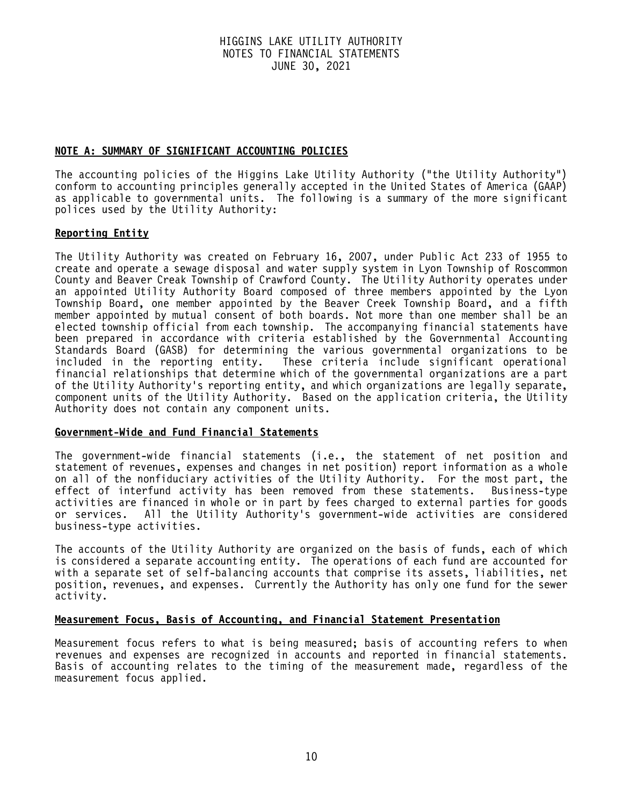### **NOTE A: SUMMARY OF SIGNIFICANT ACCOUNTING POLICIES**

The accounting policies of the Higgins Lake Utility Authority ("the Utility Authority") conform to accounting principles generally accepted in the United States of America (GAAP) as applicable to governmental units. The following is a summary of the more significant polices used by the Utility Authority:

## **Reporting Entity**

The Utility Authority was created on February 16, 2007, under Public Act 233 of 1955 to create and operate a sewage disposal and water supply system in Lyon Township of Roscommon County and Beaver Creak Township of Crawford County. The Utility Authority operates under an appointed Utility Authority Board composed of three members appointed by the Lyon Township Board, one member appointed by the Beaver Creek Township Board, and a fifth member appointed by mutual consent of both boards. Not more than one member shall be an elected township official from each township. The accompanying financial statements have been prepared in accordance with criteria established by the Governmental Accounting Standards Board (GASB) for determining the various governmental organizations to be<br>included in the reporting entity. These criteria include significant operational These criteria include significant operational financial relationships that determine which of the governmental organizations are a part of the Utility Authority's reporting entity, and which organizations are legally separate, component units of the Utility Authority. Based on the application criteria, the Utility Authority does not contain any component units.

### **Government-Wide and Fund Financial Statements**

The government-wide financial statements (i.e., the statement of net position and statement of revenues, expenses and changes in net position) report information as a whole on all of the nonfiduciary activities of the Utility Authority. For the most part, the<br>effect of interfund activity has been removed from these statements. Business-type effect of interfund activity has been removed from these statements. activities are financed in whole or in part by fees charged to external parties for goods or services. All the Utility Authority's government-wide activities are considered business-type activities.

The accounts of the Utility Authority are organized on the basis of funds, each of which is considered a separate accounting entity. The operations of each fund are accounted for with a separate set of self-balancing accounts that comprise its assets, liabilities, net position, revenues, and expenses. Currently the Authority has only one fund for the sewer activity.

# **Measurement Focus, Basis of Accounting, and Financial Statement Presentation**

Measurement focus refers to what is being measured; basis of accounting refers to when revenues and expenses are recognized in accounts and reported in financial statements. Basis of accounting relates to the timing of the measurement made, regardless of the measurement focus applied.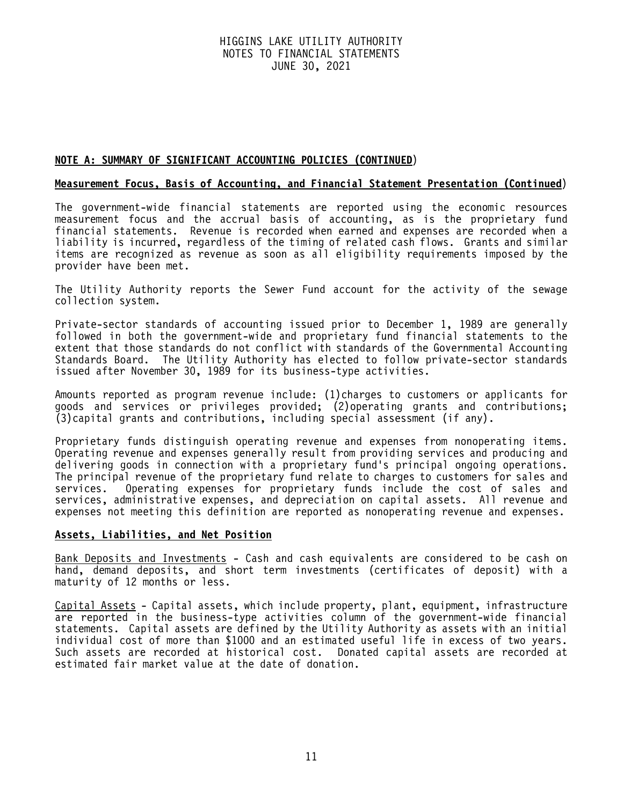### **NOTE A: SUMMARY OF SIGNIFICANT ACCOUNTING POLICIES (CONTINUED**)

#### **Measurement Focus, Basis of Accounting, and Financial Statement Presentation (Continued**)

The government-wide financial statements are reported using the economic resources measurement focus and the accrual basis of accounting, as is the proprietary fund financial statements. Revenue is recorded when earned and expenses are recorded when a liability is incurred, regardless of the timing of related cash flows. Grants and similar items are recognized as revenue as soon as all eligibility requirements imposed by the provider have been met.

The Utility Authority reports the Sewer Fund account for the activity of the sewage collection system.

Private-sector standards of accounting issued prior to December 1, 1989 are generally followed in both the government-wide and proprietary fund financial statements to the extent that those standards do not conflict with standards of the Governmental Accounting Standards Board. The Utility Authority has elected to follow private-sector standards issued after November 30, 1989 for its business-type activities.

Amounts reported as program revenue include: (1)charges to customers or applicants for goods and services or privileges provided; (2)operating grants and contributions; (3)capital grants and contributions, including special assessment (if any).

Proprietary funds distinguish operating revenue and expenses from nonoperating items. Operating revenue and expenses generally result from providing services and producing and delivering goods in connection with a proprietary fund's principal ongoing operations. The principal revenue of the proprietary fund relate to charges to customers for sales and services. Operating expenses for proprietary funds include the cost of sales and services, administrative expenses, and depreciation on capital assets. All revenue and expenses not meeting this definition are reported as nonoperating revenue and expenses.

### **Assets, Liabilities, and Net Position**

Bank Deposits and Investments - Cash and cash equivalents are considered to be cash on hand, demand deposits, and short term investments (certificates of deposit) with a maturity of 12 months or less.

Capital Assets - Capital assets, which include property, plant, equipment, infrastructure are reported in the business-type activities column of the government-wide financial statements. Capital assets are defined by the Utility Authority as assets with an initial individual cost of more than \$1000 and an estimated useful life in excess of two years. Such assets are recorded at historical cost. Donated capital assets are recorded at estimated fair market value at the date of donation.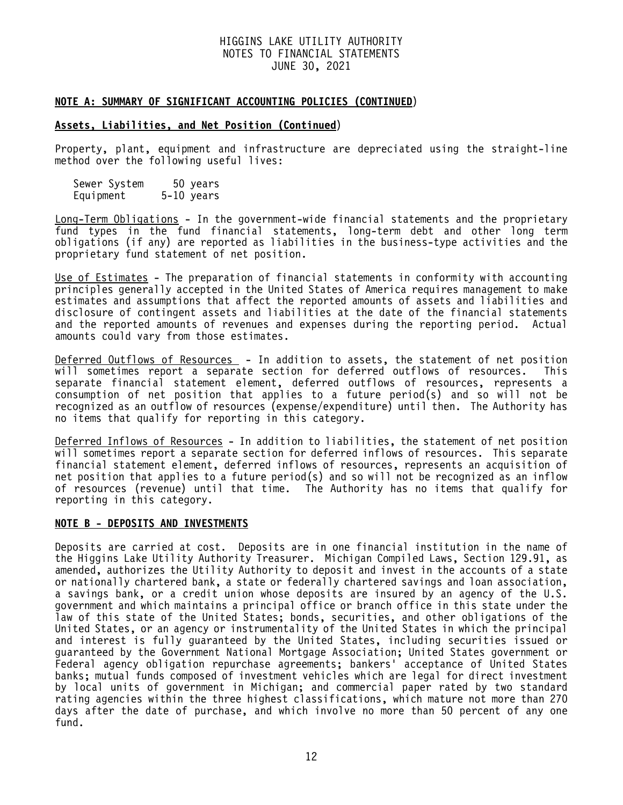#### **NOTE A: SUMMARY OF SIGNIFICANT ACCOUNTING POLICIES (CONTINUED**)

#### **Assets, Liabilities, and Net Position (Continued**)

Property, plant, equipment and infrastructure are depreciated using the straight-line method over the following useful lives:

Sewer System 50 years Equipment 5-10 years

Long-Term Obligations - In the government-wide financial statements and the proprietary fund types in the fund financial statements, long-term debt and other long term obligations (if any) are reported as liabilities in the business-type activities and the proprietary fund statement of net position.

Use of Estimates - The preparation of financial statements in conformity with accounting principles generally accepted in the United States of America requires management to make estimates and assumptions that affect the reported amounts of assets and liabilities and disclosure of contingent assets and liabilities at the date of the financial statements and the reported amounts of revenues and expenses during the reporting period. Actual amounts could vary from those estimates.

Deferred Outflows of Resources - In addition to assets, the statement of net position<br>will sometimes report a separate section for deferred outflows of resources. This will sometimes report a separate section for deferred outflows of resources. separate financial statement element, deferred outflows of resources, represents a consumption of net position that applies to a future period(s) and so will not be recognized as an outflow of resources (expense/expenditure) until then. The Authority has no items that qualify for reporting in this category.

Deferred Inflows of Resources - In addition to liabilities, the statement of net position will sometimes report a separate section for deferred inflows of resources. This separate financial statement element, deferred inflows of resources, represents an acquisition of net position that applies to a future period(s) and so will not be recognized as an inflow of resources (revenue) until that time. The Authority has no items that qualify for reporting in this category.

#### **NOTE B - DEPOSITS AND INVESTMENTS**

Deposits are carried at cost. Deposits are in one financial institution in the name of the Higgins Lake Utility Authority Treasurer. Michigan Compiled Laws, Section 129.91, as amended, authorizes the Utility Authority to deposit and invest in the accounts of a state or nationally chartered bank, a state or federally chartered savings and loan association, a savings bank, or a credit union whose deposits are insured by an agency of the U.S. government and which maintains a principal office or branch office in this state under the law of this state of the United States; bonds, securities, and other obligations of the United States, or an agency or instrumentality of the United States in which the principal and interest is fully guaranteed by the United States, including securities issued or guaranteed by the Government National Mortgage Association; United States government or Federal agency obligation repurchase agreements; bankers' acceptance of United States banks; mutual funds composed of investment vehicles which are legal for direct investment by local units of government in Michigan; and commercial paper rated by two standard rating agencies within the three highest classifications, which mature not more than 270 days after the date of purchase, and which involve no more than 50 percent of any one fund.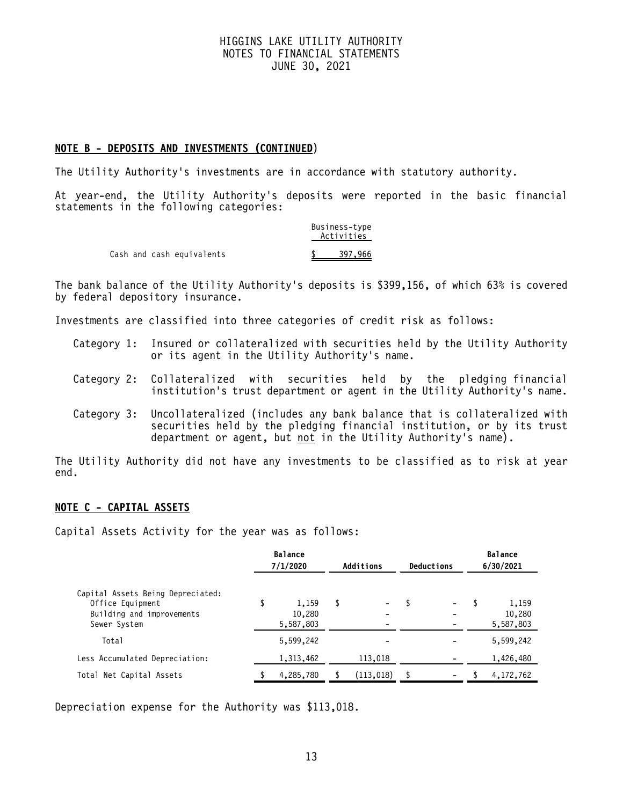### **NOTE B - DEPOSITS AND INVESTMENTS (CONTINUED**)

The Utility Authority's investments are in accordance with statutory authority.

At year-end, the Utility Authority's deposits were reported in the basic financial statements in the following categories:

|  |                           |  | Business-type<br>Activities |  |
|--|---------------------------|--|-----------------------------|--|
|  | Cash and cash equivalents |  | 397,966                     |  |

The bank balance of the Utility Authority's deposits is \$399,156, of which 63% is covered by federal depository insurance.

Investments are classified into three categories of credit risk as follows:

- Category 1: Insured or collateralized with securities held by the Utility Authority or its agent in the Utility Authority's name.
- Category 2: Collateralized with securities held by the pledging financial institution's trust department or agent in the Utility Authority's name.
- Category 3: Uncollateralized (includes any bank balance that is collateralized with securities held by the pledging financial institution, or by its trust department or agent, but not in the Utility Authority's name).

The Utility Authority did not have any investments to be classified as to risk at year end.

#### **NOTE C - CAPITAL ASSETS**

Capital Assets Activity for the year was as follows:

|                                                                                                    | <b>Balance</b><br>7/1/2020 |                              | Additions |                                                               | <b>Deductions</b> |        | <b>Balance</b><br>6/30/2021 |                              |
|----------------------------------------------------------------------------------------------------|----------------------------|------------------------------|-----------|---------------------------------------------------------------|-------------------|--------|-----------------------------|------------------------------|
| Capital Assets Being Depreciated:<br>Office Equipment<br>Building and improvements<br>Sewer System | \$                         | 1,159<br>10,280<br>5,587,803 | \$        | $\qquad \qquad \blacksquare$<br>$\overline{\phantom{a}}$<br>- |                   | $\sim$ |                             | 1,159<br>10,280<br>5,587,803 |
| Total                                                                                              |                            | 5,599,242                    |           | -                                                             |                   |        |                             | 5,599,242                    |
| Less Accumulated Depreciation:                                                                     |                            | 1,313,462                    |           | 113,018                                                       |                   |        |                             | 1,426,480                    |
| Total Net Capital Assets                                                                           |                            | 4,285,780                    |           | (113, 018)                                                    |                   |        |                             | 4,172,762                    |

Depreciation expense for the Authority was \$113,018.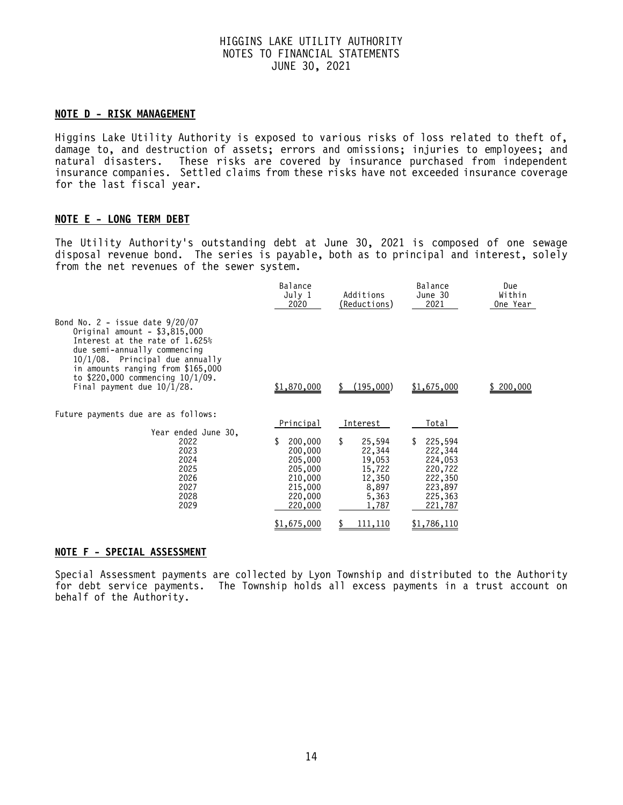#### **NOTE D - RISK MANAGEMENT**

Higgins Lake Utility Authority is exposed to various risks of loss related to theft of, damage to, and destruction of assets; errors and omissions; injuries to employees; and natural disasters. These risks are covered by insurance purchased from independent insurance companies. Settled claims from these risks have not exceeded insurance coverage for the last fiscal year.

#### **NOTE E - LONG TERM DEBT**

The Utility Authority's outstanding debt at June 30, 2021 is composed of one sewage disposal revenue bond. The series is payable, both as to principal and interest, solely from the net revenues of the sewer system.

|                                                                                                                                                                                                                                                           | Balance<br>July 1<br>2020                                                                                | Additions<br>(Reductions)                                                                   | Balance<br>June 30<br>2021                                                                           | Due<br>Within<br>One Year |
|-----------------------------------------------------------------------------------------------------------------------------------------------------------------------------------------------------------------------------------------------------------|----------------------------------------------------------------------------------------------------------|---------------------------------------------------------------------------------------------|------------------------------------------------------------------------------------------------------|---------------------------|
| Bond No. $2 - i$ ssue date $9/20/07$<br>Original amount $-$ \$3,815,000<br>Interest at the rate of 1.625%<br>due semi-annually commencing<br>10/1/08. Principal due annually<br>in amounts ranging from \$165,000<br>to $$220,000$ commencing $10/1/09$ . |                                                                                                          |                                                                                             |                                                                                                      |                           |
| Final payment due $10/1/28$ .                                                                                                                                                                                                                             | \$1,870,000                                                                                              | (195,000)<br>\$                                                                             | \$1,675,000                                                                                          | \$200,000                 |
| Future payments due are as follows:<br>Year ended June 30.<br>2022<br>2023<br>2024<br>2025<br>2026<br>2027<br>2028<br>2029                                                                                                                                | Principal<br>\$.<br>200,000<br>200,000<br>205,000<br>205,000<br>210,000<br>215,000<br>220,000<br>220,000 | Interest<br>\$<br>25,594<br>22,344<br>19,053<br>15,722<br>12,350<br>8,897<br>5,363<br>1,787 | Total<br>225,594<br>\$.<br>222,344<br>224,053<br>220,722<br>222,350<br>223,897<br>225,363<br>221,787 |                           |
|                                                                                                                                                                                                                                                           | \$1,675,000                                                                                              | <u>111,110</u>                                                                              | <u>\$1,786,110</u>                                                                                   |                           |

#### **NOTE F - SPECIAL ASSESSMENT**

Special Assessment payments are collected by Lyon Township and distributed to the Authority for debt service payments. The Township holds all excess payments in a trust account on behalf of the Authority.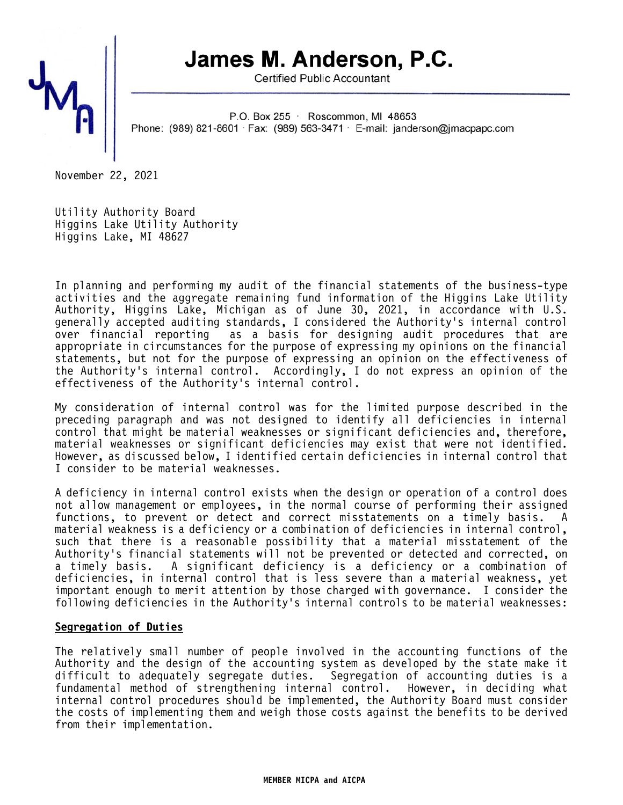# **James M. Anderson, P.C.**

**Certified Public Accountant** 

P.O. Box 255 · Roscommon, MI 48653 Phone: (989) 821-8601 · Fax: (989) 563-3471 · E-mail: janderson@jmacpapc.com

November 22, 2021

Utility Authority Board Higgins Lake Utility Authority Higgins Lake, MI 48627

In planning and performing my audit of the financial statements of the business-type activities and the aggregate remaining fund information of the Higgins Lake Utility Authority, Higgins Lake, Michigan as of June 30, 2021, in accordance with U.S. generally accepted auditing standards, I considered the Authority's internal control over financial reporting as a basis for designing audit procedures that are appropriate in circumstances for the purpose of expressing my opinions on the financial statements, but not for the purpose of expressing an opinion on the effectiveness of the Authority's internal control. Accordingly, I do not express an opinion of the effectiveness of the Authority's internal control.

My consideration of internal control was for the limited purpose described in the preceding paragraph and was not designed to identify all deficiencies in internal control that might be material weaknesses or significant deficiencies and, therefore, material weaknesses or significant deficiencies may exist that were not identified. However, as discussed below, I identified certain deficiencies in internal control that I consider to be material weaknesses.

A deficiency in internal control exists when the design or operation of a control does not allow management or employees, in the normal course of performing their assigned functions, to prevent or detect and correct misstatements on a timely basis. A material weakness is a deficiency or a combination of deficiencies in internal control, such that there is a reasonable possibility that a material misstatement of the Authority's financial statements will not be prevented or detected and corrected, on a timely basis. A significant deficiency is a deficiency or a combination of deficiencies, in internal control that is less severe than a material weakness, yet important enough to merit attention by those charged with governance. I consider the following deficiencies in the Authority's internal controls to be material weaknesses:

### **Segregation of Duties**

The relatively small number of people involved in the accounting functions of the Authority and the design of the accounting system as developed by the state make it difficult to adequately segregate duties. Segregation of accounting duties is a fundamental method of strengthening internal control. However, in deciding what internal control procedures should be implemented, the Authority Board must consider the costs of implementing them and weigh those costs against the benefits to be derived from their implementation.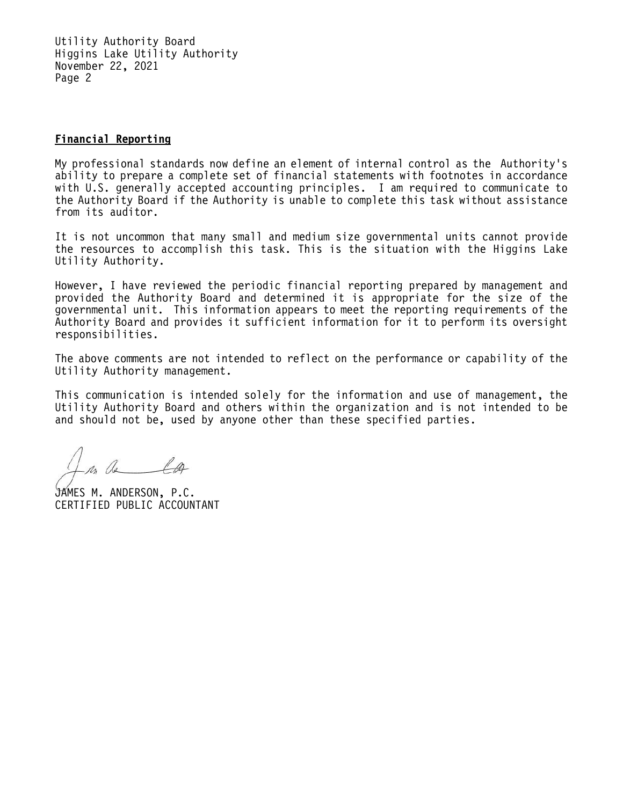Utility Authority Board Higgins Lake Utility Authority November 22, 2021 Page 2

#### **Financial Reporting**

My professional standards now define an element of internal control as the Authority's ability to prepare a complete set of financial statements with footnotes in accordance with U.S. generally accepted accounting principles. I am required to communicate to the Authority Board if the Authority is unable to complete this task without assistance from its auditor.

It is not uncommon that many small and medium size governmental units cannot provide the resources to accomplish this task. This is the situation with the Higgins Lake Utility Authority.

However, I have reviewed the periodic financial reporting prepared by management and provided the Authority Board and determined it is appropriate for the size of the governmental unit. This information appears to meet the reporting requirements of the Authority Board and provides it sufficient information for it to perform its oversight responsibilities.

The above comments are not intended to reflect on the performance or capability of the Utility Authority management.

This communication is intended solely for the information and use of management, the Utility Authority Board and others within the organization and is not intended to be and should not be, used by anyone other than these specified parties.

an a

JAMES M. ANDERSON, P.C. CERTIFIED PUBLIC ACCOUNTANT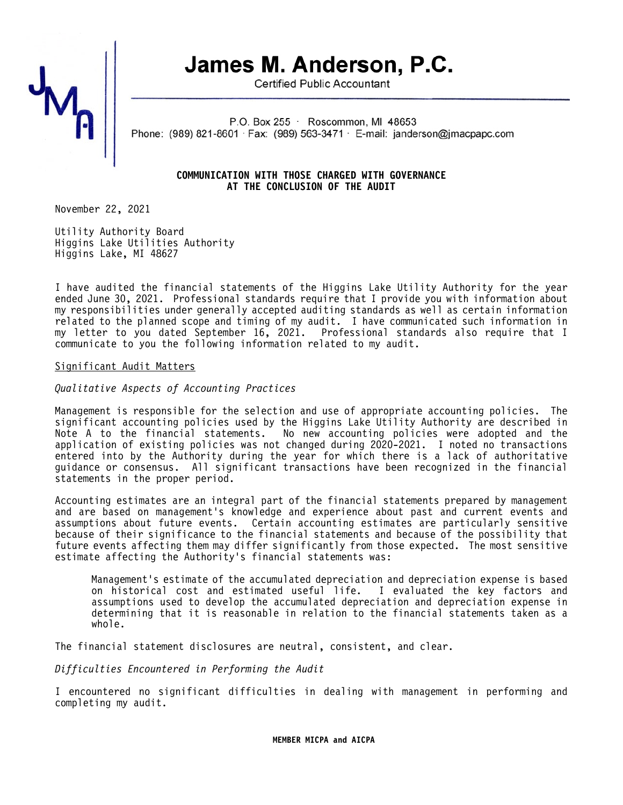

# James M. Anderson, P.C.

**Certified Public Accountant** 

P.O. Box 255 · Roscommon, MI 48653 Phone: (989) 821-8601 · Fax: (989) 563-3471 · E-mail: janderson@jmacpapc.com

#### **COMMUNICATION WITH THOSE CHARGED WITH GOVERNANCE AT THE CONCLUSION OF THE AUDIT**

November 22, 2021

Utility Authority Board Higgins Lake Utilities Authority Higgins Lake, MI 48627

I have audited the financial statements of the Higgins Lake Utility Authority for the year ended June 30, 2021. Professional standards require that I provide you with information about my responsibilities under generally accepted auditing standards as well as certain information related to the planned scope and timing of my audit. I have communicated such information in my letter to you dated September 16, 2021. Professional standards also require that I communicate to you the following information related to my audit.

#### Significant Audit Matters

*Qualitative Aspects of Accounting Practices*

Management is responsible for the selection and use of appropriate accounting policies. The significant accounting policies used by the Higgins Lake Utility Authority are described in Note A to the financial statements. No new accounting policies were adopted and the application of existing policies was not changed during 2020-2021. I noted no transactions entered into by the Authority during the year for which there is a lack of authoritative guidance or consensus. All significant transactions have been recognized in the financial statements in the proper period.

Accounting estimates are an integral part of the financial statements prepared by management and are based on management's knowledge and experience about past and current events and assumptions about future events. Certain accounting estimates are particularly sensitive because of their significance to the financial statements and because of the possibility that future events affecting them may differ significantly from those expected. The most sensitive estimate affecting the Authority's financial statements was:

Management's estimate of the accumulated depreciation and depreciation expense is based on historical cost and estimated useful life. I evaluated the key factors and assumptions used to develop the accumulated depreciation and depreciation expense in determining that it is reasonable in relation to the financial statements taken as a whole.

The financial statement disclosures are neutral, consistent, and clear.

*Difficulties Encountered in Performing the Audit* 

I encountered no significant difficulties in dealing with management in performing and completing my audit.